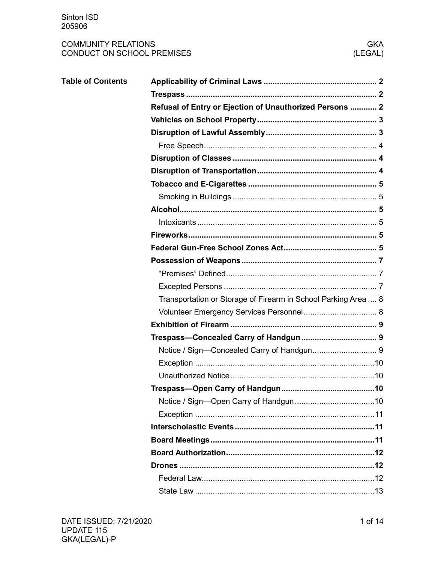# **COMMUNITY RELATIONS** CONDUCT ON SCHOOL PREMISES

| <b>Table of Contents</b> |                                                                |  |  |  |  |  |  |
|--------------------------|----------------------------------------------------------------|--|--|--|--|--|--|
|                          |                                                                |  |  |  |  |  |  |
|                          | Refusal of Entry or Ejection of Unauthorized Persons  2        |  |  |  |  |  |  |
|                          |                                                                |  |  |  |  |  |  |
|                          |                                                                |  |  |  |  |  |  |
|                          |                                                                |  |  |  |  |  |  |
|                          |                                                                |  |  |  |  |  |  |
|                          |                                                                |  |  |  |  |  |  |
|                          |                                                                |  |  |  |  |  |  |
|                          |                                                                |  |  |  |  |  |  |
|                          |                                                                |  |  |  |  |  |  |
|                          |                                                                |  |  |  |  |  |  |
|                          |                                                                |  |  |  |  |  |  |
|                          |                                                                |  |  |  |  |  |  |
|                          |                                                                |  |  |  |  |  |  |
|                          |                                                                |  |  |  |  |  |  |
|                          |                                                                |  |  |  |  |  |  |
|                          | Transportation or Storage of Firearm in School Parking Area  8 |  |  |  |  |  |  |
|                          |                                                                |  |  |  |  |  |  |
|                          |                                                                |  |  |  |  |  |  |
|                          |                                                                |  |  |  |  |  |  |
|                          |                                                                |  |  |  |  |  |  |
|                          |                                                                |  |  |  |  |  |  |
|                          |                                                                |  |  |  |  |  |  |
|                          |                                                                |  |  |  |  |  |  |
|                          |                                                                |  |  |  |  |  |  |
|                          |                                                                |  |  |  |  |  |  |
|                          |                                                                |  |  |  |  |  |  |
|                          |                                                                |  |  |  |  |  |  |
|                          |                                                                |  |  |  |  |  |  |
|                          |                                                                |  |  |  |  |  |  |
|                          |                                                                |  |  |  |  |  |  |
|                          |                                                                |  |  |  |  |  |  |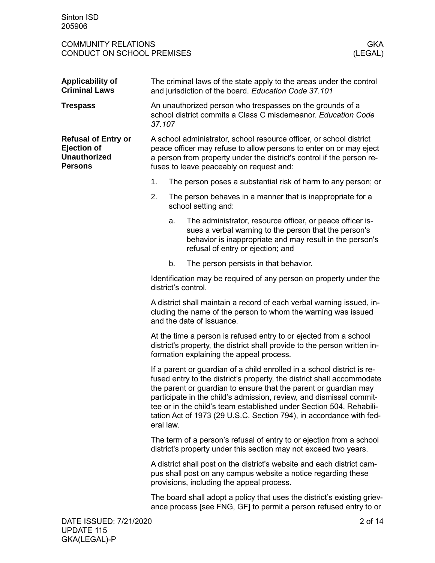<span id="page-1-2"></span><span id="page-1-1"></span><span id="page-1-0"></span>

| <b>Applicability of</b><br><b>Criminal Laws</b>                                           | The criminal laws of the state apply to the areas under the control<br>and jurisdiction of the board. Education Code 37.101                                                                                                                                                                                                                                                                                                                             |                                                               |                                                                                                                                                                                                                     |  |  |
|-------------------------------------------------------------------------------------------|---------------------------------------------------------------------------------------------------------------------------------------------------------------------------------------------------------------------------------------------------------------------------------------------------------------------------------------------------------------------------------------------------------------------------------------------------------|---------------------------------------------------------------|---------------------------------------------------------------------------------------------------------------------------------------------------------------------------------------------------------------------|--|--|
| <b>Trespass</b>                                                                           | An unauthorized person who trespasses on the grounds of a<br>school district commits a Class C misdemeanor. Education Code<br>37.107                                                                                                                                                                                                                                                                                                                    |                                                               |                                                                                                                                                                                                                     |  |  |
| <b>Refusal of Entry or</b><br><b>Ejection of</b><br><b>Unauthorized</b><br><b>Persons</b> | A school administrator, school resource officer, or school district<br>peace officer may refuse to allow persons to enter on or may eject<br>a person from property under the district's control if the person re-<br>fuses to leave peaceably on request and:                                                                                                                                                                                          |                                                               |                                                                                                                                                                                                                     |  |  |
|                                                                                           | 1.                                                                                                                                                                                                                                                                                                                                                                                                                                                      | The person poses a substantial risk of harm to any person; or |                                                                                                                                                                                                                     |  |  |
|                                                                                           | 2.                                                                                                                                                                                                                                                                                                                                                                                                                                                      |                                                               | The person behaves in a manner that is inappropriate for a<br>school setting and:                                                                                                                                   |  |  |
|                                                                                           |                                                                                                                                                                                                                                                                                                                                                                                                                                                         | a.                                                            | The administrator, resource officer, or peace officer is-<br>sues a verbal warning to the person that the person's<br>behavior is inappropriate and may result in the person's<br>refusal of entry or ejection; and |  |  |
|                                                                                           |                                                                                                                                                                                                                                                                                                                                                                                                                                                         | b.                                                            | The person persists in that behavior.                                                                                                                                                                               |  |  |
|                                                                                           | Identification may be required of any person on property under the<br>district's control.                                                                                                                                                                                                                                                                                                                                                               |                                                               |                                                                                                                                                                                                                     |  |  |
|                                                                                           | A district shall maintain a record of each verbal warning issued, in-<br>cluding the name of the person to whom the warning was issued<br>and the date of issuance.                                                                                                                                                                                                                                                                                     |                                                               |                                                                                                                                                                                                                     |  |  |
|                                                                                           | At the time a person is refused entry to or ejected from a school<br>district's property, the district shall provide to the person written in-<br>formation explaining the appeal process.                                                                                                                                                                                                                                                              |                                                               |                                                                                                                                                                                                                     |  |  |
|                                                                                           | If a parent or guardian of a child enrolled in a school district is re-<br>fused entry to the district's property, the district shall accommodate<br>the parent or guardian to ensure that the parent or guardian may<br>participate in the child's admission, review, and dismissal commit-<br>tee or in the child's team established under Section 504, Rehabili-<br>tation Act of 1973 (29 U.S.C. Section 794), in accordance with fed-<br>eral law. |                                                               |                                                                                                                                                                                                                     |  |  |
|                                                                                           | The term of a person's refusal of entry to or ejection from a school<br>district's property under this section may not exceed two years.                                                                                                                                                                                                                                                                                                                |                                                               |                                                                                                                                                                                                                     |  |  |
|                                                                                           | A district shall post on the district's website and each district cam-<br>pus shall post on any campus website a notice regarding these<br>provisions, including the appeal process.                                                                                                                                                                                                                                                                    |                                                               |                                                                                                                                                                                                                     |  |  |
|                                                                                           | The board shall adopt a policy that uses the district's existing griev-<br>ance process [see FNG, GF] to permit a person refused entry to or                                                                                                                                                                                                                                                                                                            |                                                               |                                                                                                                                                                                                                     |  |  |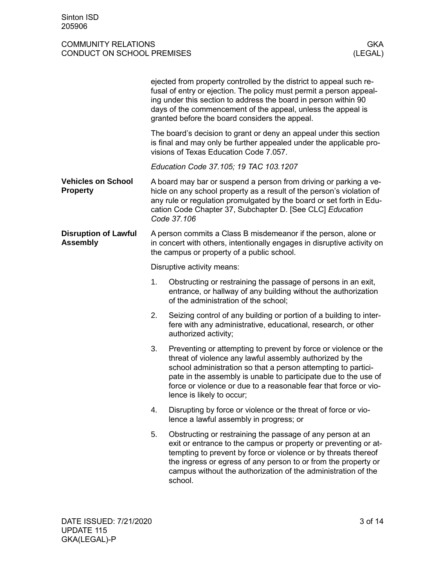<span id="page-2-1"></span><span id="page-2-0"></span>

|                                                |                                                                                                                                                                                         | ejected from property controlled by the district to appeal such re-<br>fusal of entry or ejection. The policy must permit a person appeal-<br>ing under this section to address the board in person within 90<br>days of the commencement of the appeal, unless the appeal is<br>granted before the board considers the appeal.                                  |  |  |
|------------------------------------------------|-----------------------------------------------------------------------------------------------------------------------------------------------------------------------------------------|------------------------------------------------------------------------------------------------------------------------------------------------------------------------------------------------------------------------------------------------------------------------------------------------------------------------------------------------------------------|--|--|
|                                                |                                                                                                                                                                                         | The board's decision to grant or deny an appeal under this section<br>is final and may only be further appealed under the applicable pro-<br>visions of Texas Education Code 7.057.                                                                                                                                                                              |  |  |
|                                                |                                                                                                                                                                                         | Education Code 37.105; 19 TAC 103.1207                                                                                                                                                                                                                                                                                                                           |  |  |
| <b>Vehicles on School</b><br><b>Property</b>   |                                                                                                                                                                                         | A board may bar or suspend a person from driving or parking a ve-<br>hicle on any school property as a result of the person's violation of<br>any rule or regulation promulgated by the board or set forth in Edu-<br>cation Code Chapter 37, Subchapter D. [See CLC] Education<br>Code 37.106                                                                   |  |  |
| <b>Disruption of Lawful</b><br><b>Assembly</b> | A person commits a Class B misdemeanor if the person, alone or<br>in concert with others, intentionally engages in disruptive activity on<br>the campus or property of a public school. |                                                                                                                                                                                                                                                                                                                                                                  |  |  |
|                                                |                                                                                                                                                                                         | Disruptive activity means:                                                                                                                                                                                                                                                                                                                                       |  |  |
|                                                | 1.                                                                                                                                                                                      | Obstructing or restraining the passage of persons in an exit,<br>entrance, or hallway of any building without the authorization<br>of the administration of the school;                                                                                                                                                                                          |  |  |
|                                                | 2.                                                                                                                                                                                      | Seizing control of any building or portion of a building to inter-<br>fere with any administrative, educational, research, or other<br>authorized activity;                                                                                                                                                                                                      |  |  |
|                                                | 3.                                                                                                                                                                                      | Preventing or attempting to prevent by force or violence or the<br>threat of violence any lawful assembly authorized by the<br>school administration so that a person attempting to partici-<br>pate in the assembly is unable to participate due to the use of<br>force or violence or due to a reasonable fear that force or vio-<br>lence is likely to occur; |  |  |
|                                                | 4.                                                                                                                                                                                      | Disrupting by force or violence or the threat of force or vio-<br>lence a lawful assembly in progress; or                                                                                                                                                                                                                                                        |  |  |
|                                                | 5.                                                                                                                                                                                      | Obstructing or restraining the passage of any person at an<br>exit or entrance to the campus or property or preventing or at-<br>tempting to prevent by force or violence or by threats thereof<br>the ingress or egress of any person to or from the property or<br>campus without the authorization of the administration of the<br>school.                    |  |  |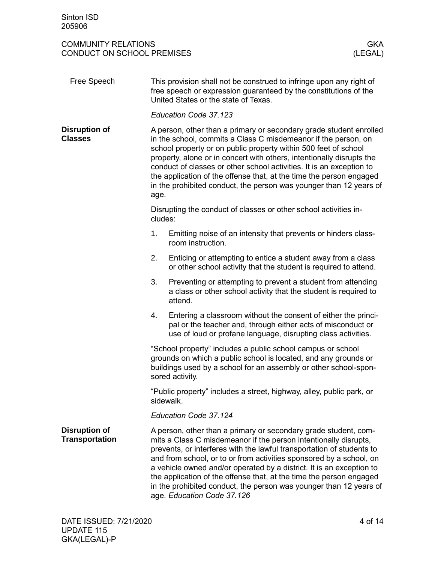<span id="page-3-2"></span><span id="page-3-1"></span><span id="page-3-0"></span>

| This provision shall not be construed to infringe upon any right of<br>free speech or expression guaranteed by the constitutions of the<br>United States or the state of Texas.<br>Education Code 37.123<br>A person, other than a primary or secondary grade student enrolled<br>in the school, commits a Class C misdemeanor if the person, on<br>school property or on public property within 500 feet of school<br>property, alone or in concert with others, intentionally disrupts the                                           |  |  |  |
|----------------------------------------------------------------------------------------------------------------------------------------------------------------------------------------------------------------------------------------------------------------------------------------------------------------------------------------------------------------------------------------------------------------------------------------------------------------------------------------------------------------------------------------|--|--|--|
|                                                                                                                                                                                                                                                                                                                                                                                                                                                                                                                                        |  |  |  |
|                                                                                                                                                                                                                                                                                                                                                                                                                                                                                                                                        |  |  |  |
| conduct of classes or other school activities. It is an exception to<br>the application of the offense that, at the time the person engaged<br>in the prohibited conduct, the person was younger than 12 years of<br>age.                                                                                                                                                                                                                                                                                                              |  |  |  |
| Disrupting the conduct of classes or other school activities in-<br>cludes:                                                                                                                                                                                                                                                                                                                                                                                                                                                            |  |  |  |
| Emitting noise of an intensity that prevents or hinders class-<br>room instruction.                                                                                                                                                                                                                                                                                                                                                                                                                                                    |  |  |  |
| Enticing or attempting to entice a student away from a class<br>or other school activity that the student is required to attend.                                                                                                                                                                                                                                                                                                                                                                                                       |  |  |  |
| Preventing or attempting to prevent a student from attending<br>a class or other school activity that the student is required to<br>attend.                                                                                                                                                                                                                                                                                                                                                                                            |  |  |  |
| Entering a classroom without the consent of either the princi-<br>pal or the teacher and, through either acts of misconduct or<br>use of loud or profane language, disrupting class activities.                                                                                                                                                                                                                                                                                                                                        |  |  |  |
| "School property" includes a public school campus or school<br>grounds on which a public school is located, and any grounds or<br>buildings used by a school for an assembly or other school-spon-<br>sored activity.                                                                                                                                                                                                                                                                                                                  |  |  |  |
| "Public property" includes a street, highway, alley, public park, or<br>sidewalk.                                                                                                                                                                                                                                                                                                                                                                                                                                                      |  |  |  |
| Education Code 37.124                                                                                                                                                                                                                                                                                                                                                                                                                                                                                                                  |  |  |  |
| A person, other than a primary or secondary grade student, com-<br>mits a Class C misdemeanor if the person intentionally disrupts,<br>prevents, or interferes with the lawful transportation of students to<br>and from school, or to or from activities sponsored by a school, on<br>a vehicle owned and/or operated by a district. It is an exception to<br>the application of the offense that, at the time the person engaged<br>in the prohibited conduct, the person was younger than 12 years of<br>age. Education Code 37.126 |  |  |  |
|                                                                                                                                                                                                                                                                                                                                                                                                                                                                                                                                        |  |  |  |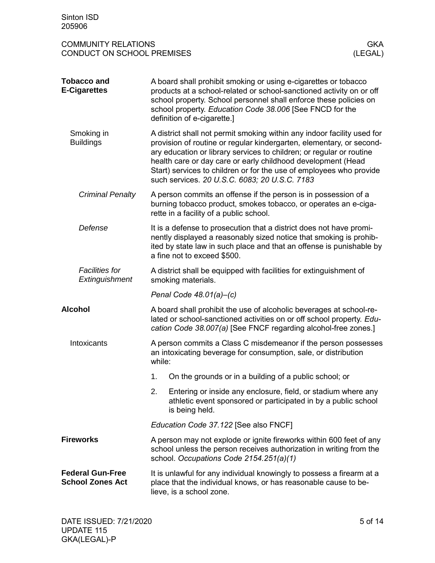<span id="page-4-5"></span><span id="page-4-4"></span><span id="page-4-3"></span><span id="page-4-2"></span><span id="page-4-1"></span><span id="page-4-0"></span>

| Sinton ISD<br>205906                                                              |                                                                                                                                                                                                                                                                                                                                                                                                                 |  |  |  |  |
|-----------------------------------------------------------------------------------|-----------------------------------------------------------------------------------------------------------------------------------------------------------------------------------------------------------------------------------------------------------------------------------------------------------------------------------------------------------------------------------------------------------------|--|--|--|--|
| <b>COMMUNITY RELATIONS</b><br><b>GKA</b><br>(LEGAL)<br>CONDUCT ON SCHOOL PREMISES |                                                                                                                                                                                                                                                                                                                                                                                                                 |  |  |  |  |
| <b>Tobacco and</b><br><b>E-Cigarettes</b>                                         | A board shall prohibit smoking or using e-cigarettes or tobacco<br>products at a school-related or school-sanctioned activity on or off<br>school property. School personnel shall enforce these policies on<br>school property. Education Code 38.006 [See FNCD for the<br>definition of e-cigarette.]                                                                                                         |  |  |  |  |
| Smoking in<br><b>Buildings</b>                                                    | A district shall not permit smoking within any indoor facility used for<br>provision of routine or regular kindergarten, elementary, or second-<br>ary education or library services to children; or regular or routine<br>health care or day care or early childhood development (Head<br>Start) services to children or for the use of employees who provide<br>such services. 20 U.S.C. 6083; 20 U.S.C. 7183 |  |  |  |  |
| <b>Criminal Penalty</b>                                                           | A person commits an offense if the person is in possession of a<br>burning tobacco product, smokes tobacco, or operates an e-ciga-<br>rette in a facility of a public school.                                                                                                                                                                                                                                   |  |  |  |  |
| Defense                                                                           | It is a defense to prosecution that a district does not have promi-<br>nently displayed a reasonably sized notice that smoking is prohib-<br>ited by state law in such place and that an offense is punishable by<br>a fine not to exceed \$500.                                                                                                                                                                |  |  |  |  |
| <b>Facilities for</b><br>Extinguishment                                           | A district shall be equipped with facilities for extinguishment of<br>smoking materials.                                                                                                                                                                                                                                                                                                                        |  |  |  |  |
|                                                                                   | Penal Code $48.01(a)$ –(c)                                                                                                                                                                                                                                                                                                                                                                                      |  |  |  |  |
| <b>Alcohol</b>                                                                    | A board shall prohibit the use of alcoholic beverages at school-re-<br>lated or school-sanctioned activities on or off school property. Edu-<br>cation Code 38.007(a) [See FNCF regarding alcohol-free zones.]                                                                                                                                                                                                  |  |  |  |  |
| Intoxicants                                                                       | A person commits a Class C misdemeanor if the person possesses<br>an intoxicating beverage for consumption, sale, or distribution<br>while:                                                                                                                                                                                                                                                                     |  |  |  |  |
|                                                                                   | On the grounds or in a building of a public school; or<br>1.                                                                                                                                                                                                                                                                                                                                                    |  |  |  |  |
|                                                                                   | 2.<br>Entering or inside any enclosure, field, or stadium where any<br>athletic event sponsored or participated in by a public school<br>is being held.                                                                                                                                                                                                                                                         |  |  |  |  |
|                                                                                   | Education Code 37.122 [See also FNCF]                                                                                                                                                                                                                                                                                                                                                                           |  |  |  |  |
| <b>Fireworks</b>                                                                  | A person may not explode or ignite fireworks within 600 feet of any<br>school unless the person receives authorization in writing from the<br>school. Occupations Code 2154.251(a)(1)                                                                                                                                                                                                                           |  |  |  |  |
| <b>Federal Gun-Free</b><br><b>School Zones Act</b>                                | It is unlawful for any individual knowingly to possess a firearm at a<br>place that the individual knows, or has reasonable cause to be-<br>lieve, is a school zone.                                                                                                                                                                                                                                            |  |  |  |  |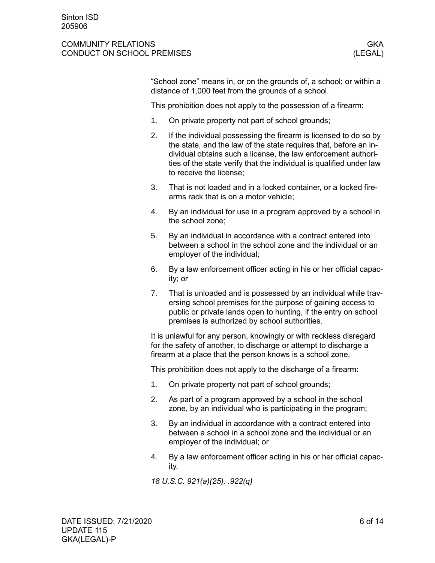#### COMMUNITY RELATIONS **GKA** CONDUCT ON SCHOOL PREMISES (LEGAL)

"School zone" means in, or on the grounds of, a school; or within a distance of 1,000 feet from the grounds of a school.

This prohibition does not apply to the possession of a firearm:

- 1. On private property not part of school grounds;
- 2. If the individual possessing the firearm is licensed to do so by the state, and the law of the state requires that, before an individual obtains such a license, the law enforcement authorities of the state verify that the individual is qualified under law to receive the license;
- 3. That is not loaded and in a locked container, or a locked firearms rack that is on a motor vehicle;
- 4. By an individual for use in a program approved by a school in the school zone;
- 5. By an individual in accordance with a contract entered into between a school in the school zone and the individual or an employer of the individual;
- 6. By a law enforcement officer acting in his or her official capacity; or
- 7. That is unloaded and is possessed by an individual while traversing school premises for the purpose of gaining access to public or private lands open to hunting, if the entry on school premises is authorized by school authorities.

It is unlawful for any person, knowingly or with reckless disregard for the safety of another, to discharge or attempt to discharge a firearm at a place that the person knows is a school zone.

This prohibition does not apply to the discharge of a firearm:

- 1. On private property not part of school grounds;
- 2. As part of a program approved by a school in the school zone, by an individual who is participating in the program;
- 3. By an individual in accordance with a contract entered into between a school in a school zone and the individual or an employer of the individual; or
- 4. By a law enforcement officer acting in his or her official capacity.

*18 U.S.C. 921(a)(25), .922(q)*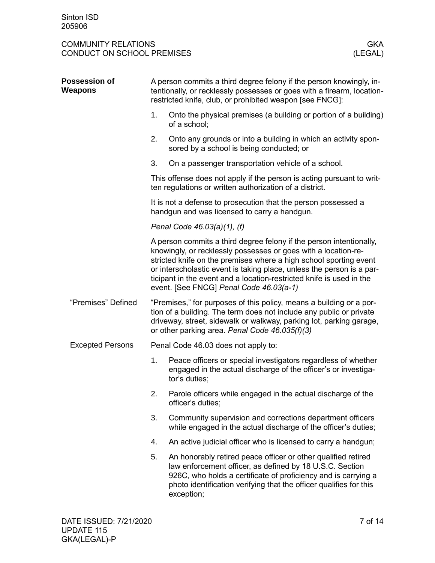<span id="page-6-2"></span><span id="page-6-1"></span><span id="page-6-0"></span>

| <b>Possession of</b><br>Weapons | A person commits a third degree felony if the person knowingly, in-<br>tentionally, or recklessly possesses or goes with a firearm, location-<br>restricted knife, club, or prohibited weapon [see FNCG]:                                                                                                                                                                                              |                                                                                                                                                                                                                                                                                 |  |  |  |  |
|---------------------------------|--------------------------------------------------------------------------------------------------------------------------------------------------------------------------------------------------------------------------------------------------------------------------------------------------------------------------------------------------------------------------------------------------------|---------------------------------------------------------------------------------------------------------------------------------------------------------------------------------------------------------------------------------------------------------------------------------|--|--|--|--|
|                                 | 1.                                                                                                                                                                                                                                                                                                                                                                                                     | Onto the physical premises (a building or portion of a building)<br>of a school;                                                                                                                                                                                                |  |  |  |  |
|                                 | 2.                                                                                                                                                                                                                                                                                                                                                                                                     | Onto any grounds or into a building in which an activity spon-<br>sored by a school is being conducted; or                                                                                                                                                                      |  |  |  |  |
|                                 | 3.                                                                                                                                                                                                                                                                                                                                                                                                     | On a passenger transportation vehicle of a school.                                                                                                                                                                                                                              |  |  |  |  |
|                                 |                                                                                                                                                                                                                                                                                                                                                                                                        | This offense does not apply if the person is acting pursuant to writ-<br>ten regulations or written authorization of a district.                                                                                                                                                |  |  |  |  |
|                                 |                                                                                                                                                                                                                                                                                                                                                                                                        | It is not a defense to prosecution that the person possessed a<br>handgun and was licensed to carry a handgun.                                                                                                                                                                  |  |  |  |  |
|                                 | Penal Code 46.03(a)(1), (f)                                                                                                                                                                                                                                                                                                                                                                            |                                                                                                                                                                                                                                                                                 |  |  |  |  |
|                                 | A person commits a third degree felony if the person intentionally,<br>knowingly, or recklessly possesses or goes with a location-re-<br>stricted knife on the premises where a high school sporting event<br>or interscholastic event is taking place, unless the person is a par-<br>ticipant in the event and a location-restricted knife is used in the<br>event. [See FNCG] Penal Code 46.03(a-1) |                                                                                                                                                                                                                                                                                 |  |  |  |  |
| "Premises" Defined              | "Premises," for purposes of this policy, means a building or a por-<br>tion of a building. The term does not include any public or private<br>driveway, street, sidewalk or walkway, parking lot, parking garage,<br>or other parking area. Penal Code 46.035(f)(3)                                                                                                                                    |                                                                                                                                                                                                                                                                                 |  |  |  |  |
| <b>Excepted Persons</b>         |                                                                                                                                                                                                                                                                                                                                                                                                        | Penal Code 46.03 does not apply to:                                                                                                                                                                                                                                             |  |  |  |  |
|                                 | 1.                                                                                                                                                                                                                                                                                                                                                                                                     | Peace officers or special investigators regardless of whether<br>engaged in the actual discharge of the officer's or investiga-<br>tor's duties;                                                                                                                                |  |  |  |  |
|                                 | 2.                                                                                                                                                                                                                                                                                                                                                                                                     | Parole officers while engaged in the actual discharge of the<br>officer's duties;                                                                                                                                                                                               |  |  |  |  |
|                                 | 3.                                                                                                                                                                                                                                                                                                                                                                                                     | Community supervision and corrections department officers<br>while engaged in the actual discharge of the officer's duties;                                                                                                                                                     |  |  |  |  |
|                                 | 4.                                                                                                                                                                                                                                                                                                                                                                                                     | An active judicial officer who is licensed to carry a handgun;                                                                                                                                                                                                                  |  |  |  |  |
|                                 | 5.                                                                                                                                                                                                                                                                                                                                                                                                     | An honorably retired peace officer or other qualified retired<br>law enforcement officer, as defined by 18 U.S.C. Section<br>926C, who holds a certificate of proficiency and is carrying a<br>photo identification verifying that the officer qualifies for this<br>exception; |  |  |  |  |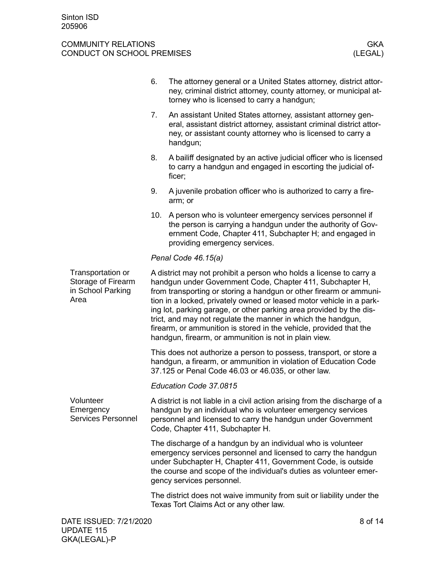<span id="page-7-1"></span><span id="page-7-0"></span>

|                                                                      | 6.                                                                                                                                                                                                                                                                                                                                                                                                                                                                                                                                                   | The attorney general or a United States attorney, district attor-<br>ney, criminal district attorney, county attorney, or municipal at-<br>torney who is licensed to carry a handgun;                                                                                                             |  |  |
|----------------------------------------------------------------------|------------------------------------------------------------------------------------------------------------------------------------------------------------------------------------------------------------------------------------------------------------------------------------------------------------------------------------------------------------------------------------------------------------------------------------------------------------------------------------------------------------------------------------------------------|---------------------------------------------------------------------------------------------------------------------------------------------------------------------------------------------------------------------------------------------------------------------------------------------------|--|--|
|                                                                      | 7.                                                                                                                                                                                                                                                                                                                                                                                                                                                                                                                                                   | An assistant United States attorney, assistant attorney gen-<br>eral, assistant district attorney, assistant criminal district attor-<br>ney, or assistant county attorney who is licensed to carry a<br>handgun;                                                                                 |  |  |
|                                                                      | 8.                                                                                                                                                                                                                                                                                                                                                                                                                                                                                                                                                   | A bailiff designated by an active judicial officer who is licensed<br>to carry a handgun and engaged in escorting the judicial of-<br>ficer;                                                                                                                                                      |  |  |
|                                                                      | 9.                                                                                                                                                                                                                                                                                                                                                                                                                                                                                                                                                   | A juvenile probation officer who is authorized to carry a fire-<br>arm; or                                                                                                                                                                                                                        |  |  |
|                                                                      | 10.                                                                                                                                                                                                                                                                                                                                                                                                                                                                                                                                                  | A person who is volunteer emergency services personnel if<br>the person is carrying a handgun under the authority of Gov-<br>ernment Code, Chapter 411, Subchapter H; and engaged in<br>providing emergency services.                                                                             |  |  |
|                                                                      |                                                                                                                                                                                                                                                                                                                                                                                                                                                                                                                                                      | Penal Code 46.15(a)                                                                                                                                                                                                                                                                               |  |  |
| Transportation or<br>Storage of Firearm<br>in School Parking<br>Area | A district may not prohibit a person who holds a license to carry a<br>handgun under Government Code, Chapter 411, Subchapter H,<br>from transporting or storing a handgun or other firearm or ammuni-<br>tion in a locked, privately owned or leased motor vehicle in a park-<br>ing lot, parking garage, or other parking area provided by the dis-<br>trict, and may not regulate the manner in which the handgun,<br>firearm, or ammunition is stored in the vehicle, provided that the<br>handgun, firearm, or ammunition is not in plain view. |                                                                                                                                                                                                                                                                                                   |  |  |
|                                                                      | This does not authorize a person to possess, transport, or store a<br>handgun, a firearm, or ammunition in violation of Education Code<br>37.125 or Penal Code 46.03 or 46.035, or other law.                                                                                                                                                                                                                                                                                                                                                        |                                                                                                                                                                                                                                                                                                   |  |  |
|                                                                      |                                                                                                                                                                                                                                                                                                                                                                                                                                                                                                                                                      | Education Code 37.0815                                                                                                                                                                                                                                                                            |  |  |
| Volunteer<br>Emergency<br><b>Services Personnel</b>                  |                                                                                                                                                                                                                                                                                                                                                                                                                                                                                                                                                      | A district is not liable in a civil action arising from the discharge of a<br>handgun by an individual who is volunteer emergency services<br>personnel and licensed to carry the handgun under Government<br>Code, Chapter 411, Subchapter H.                                                    |  |  |
|                                                                      |                                                                                                                                                                                                                                                                                                                                                                                                                                                                                                                                                      | The discharge of a handgun by an individual who is volunteer<br>emergency services personnel and licensed to carry the handgun<br>under Subchapter H, Chapter 411, Government Code, is outside<br>the course and scope of the individual's duties as volunteer emer-<br>gency services personnel. |  |  |
|                                                                      |                                                                                                                                                                                                                                                                                                                                                                                                                                                                                                                                                      | The district does not waive immunity from suit or liability under the<br>Texas Tort Claims Act or any other law.                                                                                                                                                                                  |  |  |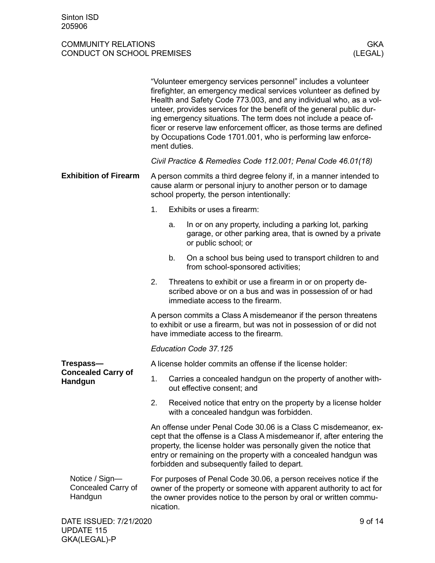<span id="page-8-2"></span><span id="page-8-1"></span>GKA(LEGAL)-P

<span id="page-8-0"></span>

|                                                 |                                                                                                                                                                                   | "Volunteer emergency services personnel" includes a volunteer<br>firefighter, an emergency medical services volunteer as defined by<br>Health and Safety Code 773.003, and any individual who, as a vol-<br>unteer, provides services for the benefit of the general public dur-<br>ing emergency situations. The term does not include a peace of-<br>ficer or reserve law enforcement officer, as those terms are defined<br>by Occupations Code 1701.001, who is performing law enforce-<br>ment duties. |         |  |  |
|-------------------------------------------------|-----------------------------------------------------------------------------------------------------------------------------------------------------------------------------------|-------------------------------------------------------------------------------------------------------------------------------------------------------------------------------------------------------------------------------------------------------------------------------------------------------------------------------------------------------------------------------------------------------------------------------------------------------------------------------------------------------------|---------|--|--|
|                                                 | Civil Practice & Remedies Code 112.001; Penal Code 46.01(18)                                                                                                                      |                                                                                                                                                                                                                                                                                                                                                                                                                                                                                                             |         |  |  |
| <b>Exhibition of Firearm</b>                    | A person commits a third degree felony if, in a manner intended to<br>cause alarm or personal injury to another person or to damage<br>school property, the person intentionally: |                                                                                                                                                                                                                                                                                                                                                                                                                                                                                                             |         |  |  |
|                                                 | 1.                                                                                                                                                                                | Exhibits or uses a firearm:                                                                                                                                                                                                                                                                                                                                                                                                                                                                                 |         |  |  |
|                                                 |                                                                                                                                                                                   | In or on any property, including a parking lot, parking<br>a.<br>garage, or other parking area, that is owned by a private<br>or public school; or                                                                                                                                                                                                                                                                                                                                                          |         |  |  |
|                                                 |                                                                                                                                                                                   | b.<br>On a school bus being used to transport children to and<br>from school-sponsored activities;                                                                                                                                                                                                                                                                                                                                                                                                          |         |  |  |
|                                                 | 2.                                                                                                                                                                                | Threatens to exhibit or use a firearm in or on property de-<br>scribed above or on a bus and was in possession of or had<br>immediate access to the firearm.                                                                                                                                                                                                                                                                                                                                                |         |  |  |
|                                                 | A person commits a Class A misdemeanor if the person threatens<br>to exhibit or use a firearm, but was not in possession of or did not<br>have immediate access to the firearm.   |                                                                                                                                                                                                                                                                                                                                                                                                                                                                                                             |         |  |  |
|                                                 | Education Code 37.125                                                                                                                                                             |                                                                                                                                                                                                                                                                                                                                                                                                                                                                                                             |         |  |  |
| Trespass-                                       | A license holder commits an offense if the license holder:                                                                                                                        |                                                                                                                                                                                                                                                                                                                                                                                                                                                                                                             |         |  |  |
| <b>Concealed Carry of</b><br>Handgun            | 1.                                                                                                                                                                                | Carries a concealed handgun on the property of another with-<br>out effective consent; and                                                                                                                                                                                                                                                                                                                                                                                                                  |         |  |  |
|                                                 | 2.                                                                                                                                                                                | Received notice that entry on the property by a license holder<br>with a concealed handgun was forbidden.                                                                                                                                                                                                                                                                                                                                                                                                   |         |  |  |
|                                                 |                                                                                                                                                                                   | An offense under Penal Code 30.06 is a Class C misdemeanor, ex-<br>cept that the offense is a Class A misdemeanor if, after entering the<br>property, the license holder was personally given the notice that<br>entry or remaining on the property with a concealed handgun was<br>forbidden and subsequently failed to depart.                                                                                                                                                                            |         |  |  |
| Notice / Sign-<br>Concealed Carry of<br>Handgun |                                                                                                                                                                                   | For purposes of Penal Code 30.06, a person receives notice if the<br>owner of the property or someone with apparent authority to act for<br>the owner provides notice to the person by oral or written commu-<br>nication.                                                                                                                                                                                                                                                                                  |         |  |  |
| DATE ISSUED: 7/21/2020<br><b>UPDATE 115</b>     |                                                                                                                                                                                   |                                                                                                                                                                                                                                                                                                                                                                                                                                                                                                             | 9 of 14 |  |  |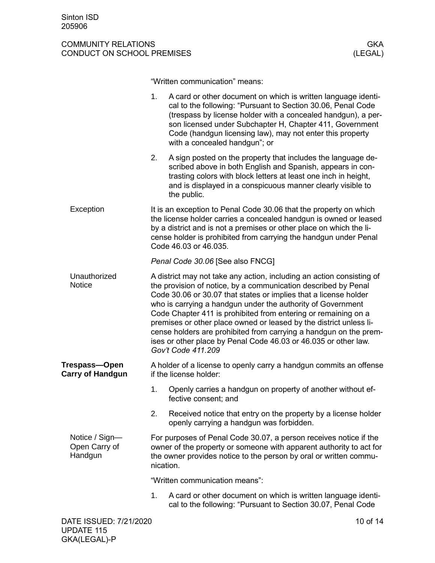<span id="page-9-3"></span><span id="page-9-2"></span>GKA(LEGAL)-P

# COMMUNITY RELATIONS GKA<br>CONDUCT ON SCHOOL PREMISES (LEGAL) CONDUCT ON SCHOOL PREMISES

"Written communication" means:

<span id="page-9-1"></span><span id="page-9-0"></span>

|                                             | 1.        | A card or other document on which is written language identi-<br>cal to the following: "Pursuant to Section 30.06, Penal Code<br>(trespass by license holder with a concealed handgun), a per-<br>son licensed under Subchapter H, Chapter 411, Government<br>Code (handgun licensing law), may not enter this property<br>with a concealed handgun"; or                                                                                                                                                                                                                         |
|---------------------------------------------|-----------|----------------------------------------------------------------------------------------------------------------------------------------------------------------------------------------------------------------------------------------------------------------------------------------------------------------------------------------------------------------------------------------------------------------------------------------------------------------------------------------------------------------------------------------------------------------------------------|
|                                             | 2.        | A sign posted on the property that includes the language de-<br>scribed above in both English and Spanish, appears in con-<br>trasting colors with block letters at least one inch in height,<br>and is displayed in a conspicuous manner clearly visible to<br>the public.                                                                                                                                                                                                                                                                                                      |
| Exception                                   |           | It is an exception to Penal Code 30.06 that the property on which<br>the license holder carries a concealed handgun is owned or leased<br>by a district and is not a premises or other place on which the li-<br>cense holder is prohibited from carrying the handgun under Penal<br>Code 46.03 or 46.035.                                                                                                                                                                                                                                                                       |
|                                             |           | Penal Code 30.06 [See also FNCG]                                                                                                                                                                                                                                                                                                                                                                                                                                                                                                                                                 |
| Unauthorized<br><b>Notice</b>               |           | A district may not take any action, including an action consisting of<br>the provision of notice, by a communication described by Penal<br>Code 30.06 or 30.07 that states or implies that a license holder<br>who is carrying a handgun under the authority of Government<br>Code Chapter 411 is prohibited from entering or remaining on a<br>premises or other place owned or leased by the district unless li-<br>cense holders are prohibited from carrying a handgun on the prem-<br>ises or other place by Penal Code 46.03 or 46.035 or other law.<br>Gov't Code 411.209 |
| Trespass-Open<br><b>Carry of Handgun</b>    |           | A holder of a license to openly carry a handgun commits an offense<br>if the license holder:                                                                                                                                                                                                                                                                                                                                                                                                                                                                                     |
|                                             | 1.        | Openly carries a handgun on property of another without ef-<br>fective consent; and                                                                                                                                                                                                                                                                                                                                                                                                                                                                                              |
|                                             | 2.        | Received notice that entry on the property by a license holder<br>openly carrying a handgun was forbidden.                                                                                                                                                                                                                                                                                                                                                                                                                                                                       |
| Notice / Sign-<br>Open Carry of<br>Handgun  | nication. | For purposes of Penal Code 30.07, a person receives notice if the<br>owner of the property or someone with apparent authority to act for<br>the owner provides notice to the person by oral or written commu-                                                                                                                                                                                                                                                                                                                                                                    |
|                                             |           | "Written communication means":                                                                                                                                                                                                                                                                                                                                                                                                                                                                                                                                                   |
|                                             | 1.        | A card or other document on which is written language identi-<br>cal to the following: "Pursuant to Section 30.07, Penal Code                                                                                                                                                                                                                                                                                                                                                                                                                                                    |
| DATE ISSUED: 7/21/2020<br><b>UPDATE 115</b> |           | 10 of 14                                                                                                                                                                                                                                                                                                                                                                                                                                                                                                                                                                         |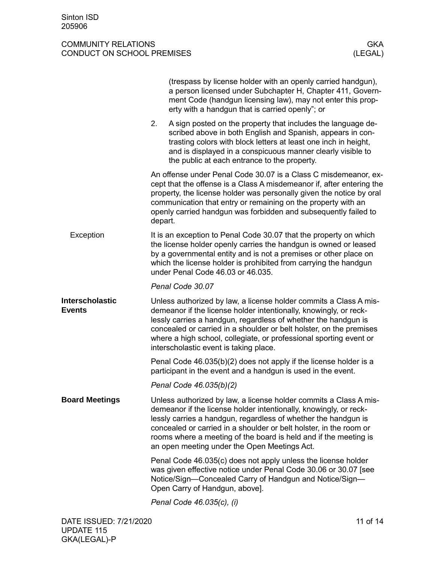<span id="page-10-2"></span><span id="page-10-1"></span><span id="page-10-0"></span>

|                                  |         | (trespass by license holder with an openly carried handgun),<br>a person licensed under Subchapter H, Chapter 411, Govern-<br>ment Code (handgun licensing law), may not enter this prop-<br>erty with a handgun that is carried openly"; or                                                                                                                                                       |
|----------------------------------|---------|----------------------------------------------------------------------------------------------------------------------------------------------------------------------------------------------------------------------------------------------------------------------------------------------------------------------------------------------------------------------------------------------------|
|                                  | 2.      | A sign posted on the property that includes the language de-<br>scribed above in both English and Spanish, appears in con-<br>trasting colors with block letters at least one inch in height,<br>and is displayed in a conspicuous manner clearly visible to<br>the public at each entrance to the property.                                                                                       |
|                                  | depart. | An offense under Penal Code 30.07 is a Class C misdemeanor, ex-<br>cept that the offense is a Class A misdemeanor if, after entering the<br>property, the license holder was personally given the notice by oral<br>communication that entry or remaining on the property with an<br>openly carried handgun was forbidden and subsequently failed to                                               |
| Exception                        |         | It is an exception to Penal Code 30.07 that the property on which<br>the license holder openly carries the handgun is owned or leased<br>by a governmental entity and is not a premises or other place on<br>which the license holder is prohibited from carrying the handgun<br>under Penal Code 46.03 or 46.035.                                                                                 |
|                                  |         | Penal Code 30.07                                                                                                                                                                                                                                                                                                                                                                                   |
| Interscholastic<br><b>Events</b> |         | Unless authorized by law, a license holder commits a Class A mis-<br>demeanor if the license holder intentionally, knowingly, or reck-<br>lessly carries a handgun, regardless of whether the handgun is<br>concealed or carried in a shoulder or belt holster, on the premises<br>where a high school, collegiate, or professional sporting event or<br>interscholastic event is taking place.    |
|                                  |         | Penal Code $46.035(b)(2)$ does not apply if the license holder is a<br>participant in the event and a handgun is used in the event.                                                                                                                                                                                                                                                                |
|                                  |         | Penal Code 46.035(b)(2)                                                                                                                                                                                                                                                                                                                                                                            |
| <b>Board Meetings</b>            |         | Unless authorized by law, a license holder commits a Class A mis-<br>demeanor if the license holder intentionally, knowingly, or reck-<br>lessly carries a handgun, regardless of whether the handgun is<br>concealed or carried in a shoulder or belt holster, in the room or<br>rooms where a meeting of the board is held and if the meeting is<br>an open meeting under the Open Meetings Act. |
|                                  |         | Penal Code 46.035(c) does not apply unless the license holder<br>was given effective notice under Penal Code 30.06 or 30.07 [see<br>Notice/Sign-Concealed Carry of Handgun and Notice/Sign-<br>Open Carry of Handgun, above].                                                                                                                                                                      |
|                                  |         | Penal Code 46.035(c), (i)                                                                                                                                                                                                                                                                                                                                                                          |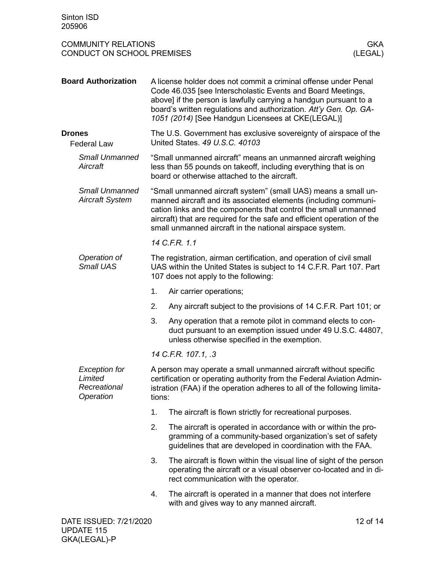<span id="page-11-2"></span><span id="page-11-1"></span><span id="page-11-0"></span>

| <b>Board Authorization</b>                                   |    | A license holder does not commit a criminal offense under Penal<br>Code 46.035 [see Interscholastic Events and Board Meetings,<br>above] if the person is lawfully carrying a handgun pursuant to a<br>board's written regulations and authorization. Att'y Gen. Op. GA-<br>1051 (2014) [See Handgun Licensees at CKE(LEGAL)]               |  |  |  |
|--------------------------------------------------------------|----|---------------------------------------------------------------------------------------------------------------------------------------------------------------------------------------------------------------------------------------------------------------------------------------------------------------------------------------------|--|--|--|
| <b>Drones</b><br><b>Federal Law</b>                          |    | The U.S. Government has exclusive sovereignty of airspace of the<br>United States. 49 U.S.C. 40103                                                                                                                                                                                                                                          |  |  |  |
| <b>Small Unmanned</b><br>Aircraft                            |    | "Small unmanned aircraft" means an unmanned aircraft weighing<br>less than 55 pounds on takeoff, including everything that is on<br>board or otherwise attached to the aircraft.                                                                                                                                                            |  |  |  |
| <b>Small Unmanned</b><br><b>Aircraft System</b>              |    | "Small unmanned aircraft system" (small UAS) means a small un-<br>manned aircraft and its associated elements (including communi-<br>cation links and the components that control the small unmanned<br>aircraft) that are required for the safe and efficient operation of the<br>small unmanned aircraft in the national airspace system. |  |  |  |
|                                                              |    | 14 C.F.R. 1.1                                                                                                                                                                                                                                                                                                                               |  |  |  |
| Operation of<br>Small UAS                                    |    | The registration, airman certification, and operation of civil small<br>UAS within the United States is subject to 14 C.F.R. Part 107. Part<br>107 does not apply to the following:                                                                                                                                                         |  |  |  |
|                                                              | 1. | Air carrier operations;                                                                                                                                                                                                                                                                                                                     |  |  |  |
|                                                              | 2. | Any aircraft subject to the provisions of 14 C.F.R. Part 101; or                                                                                                                                                                                                                                                                            |  |  |  |
|                                                              | 3. | Any operation that a remote pilot in command elects to con-<br>duct pursuant to an exemption issued under 49 U.S.C. 44807,<br>unless otherwise specified in the exemption.                                                                                                                                                                  |  |  |  |
|                                                              |    | 14 C.F.R. 107.1, .3                                                                                                                                                                                                                                                                                                                         |  |  |  |
| <b>Exception for</b><br>Limited<br>Recreational<br>Operation |    | A person may operate a small unmanned aircraft without specific<br>certification or operating authority from the Federal Aviation Admin-<br>istration (FAA) if the operation adheres to all of the following limita-<br>tions:                                                                                                              |  |  |  |
|                                                              | 1. | The aircraft is flown strictly for recreational purposes.                                                                                                                                                                                                                                                                                   |  |  |  |
|                                                              | 2. | The aircraft is operated in accordance with or within the pro-<br>gramming of a community-based organization's set of safety<br>guidelines that are developed in coordination with the FAA.                                                                                                                                                 |  |  |  |
|                                                              | 3. | The aircraft is flown within the visual line of sight of the person<br>operating the aircraft or a visual observer co-located and in di-<br>rect communication with the operator.                                                                                                                                                           |  |  |  |
|                                                              | 4. | The aircraft is operated in a manner that does not interfere<br>with and gives way to any manned aircraft.                                                                                                                                                                                                                                  |  |  |  |
| DATE ISSUED: 7/21/2020                                       |    | 12 of 14                                                                                                                                                                                                                                                                                                                                    |  |  |  |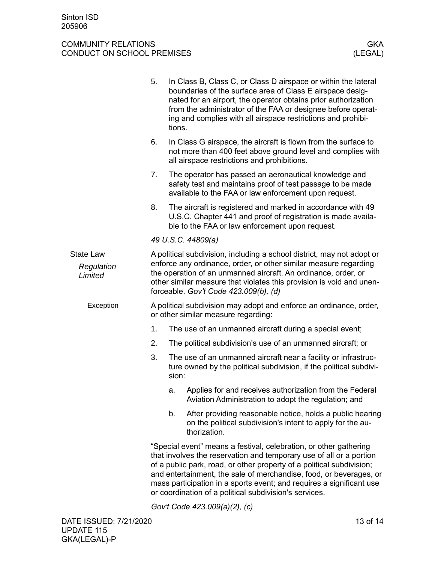<span id="page-12-0"></span>

|                                           | 5.                                                                                                                                                                                                                                                                                                                            | tions. | In Class B, Class C, or Class D airspace or within the lateral<br>boundaries of the surface area of Class E airspace desig-<br>nated for an airport, the operator obtains prior authorization<br>from the administrator of the FAA or designee before operat-<br>ing and complies with all airspace restrictions and prohibi-                                                                                             |  |
|-------------------------------------------|-------------------------------------------------------------------------------------------------------------------------------------------------------------------------------------------------------------------------------------------------------------------------------------------------------------------------------|--------|---------------------------------------------------------------------------------------------------------------------------------------------------------------------------------------------------------------------------------------------------------------------------------------------------------------------------------------------------------------------------------------------------------------------------|--|
|                                           | 6.                                                                                                                                                                                                                                                                                                                            |        | In Class G airspace, the aircraft is flown from the surface to<br>not more than 400 feet above ground level and complies with<br>all airspace restrictions and prohibitions.                                                                                                                                                                                                                                              |  |
|                                           | 7.                                                                                                                                                                                                                                                                                                                            |        | The operator has passed an aeronautical knowledge and<br>safety test and maintains proof of test passage to be made<br>available to the FAA or law enforcement upon request.                                                                                                                                                                                                                                              |  |
|                                           | 8.                                                                                                                                                                                                                                                                                                                            |        | The aircraft is registered and marked in accordance with 49<br>U.S.C. Chapter 441 and proof of registration is made availa-<br>ble to the FAA or law enforcement upon request.                                                                                                                                                                                                                                            |  |
|                                           |                                                                                                                                                                                                                                                                                                                               |        | 49 U.S.C. 44809(a)                                                                                                                                                                                                                                                                                                                                                                                                        |  |
| <b>State Law</b><br>Regulation<br>Limited | A political subdivision, including a school district, may not adopt or<br>enforce any ordinance, order, or other similar measure regarding<br>the operation of an unmanned aircraft. An ordinance, order, or<br>other similar measure that violates this provision is void and unen-<br>forceable. Gov't Code 423.009(b), (d) |        |                                                                                                                                                                                                                                                                                                                                                                                                                           |  |
| Exception                                 |                                                                                                                                                                                                                                                                                                                               |        | A political subdivision may adopt and enforce an ordinance, order,<br>or other similar measure regarding:                                                                                                                                                                                                                                                                                                                 |  |
|                                           | 1.                                                                                                                                                                                                                                                                                                                            |        | The use of an unmanned aircraft during a special event;                                                                                                                                                                                                                                                                                                                                                                   |  |
|                                           | 2.                                                                                                                                                                                                                                                                                                                            |        | The political subdivision's use of an unmanned aircraft; or                                                                                                                                                                                                                                                                                                                                                               |  |
|                                           | 3.                                                                                                                                                                                                                                                                                                                            | sion:  | The use of an unmanned aircraft near a facility or infrastruc-<br>ture owned by the political subdivision, if the political subdivi-                                                                                                                                                                                                                                                                                      |  |
|                                           |                                                                                                                                                                                                                                                                                                                               | a.     | Applies for and receives authorization from the Federal<br>Aviation Administration to adopt the regulation; and                                                                                                                                                                                                                                                                                                           |  |
|                                           |                                                                                                                                                                                                                                                                                                                               | b.     | After providing reasonable notice, holds a public hearing<br>on the political subdivision's intent to apply for the au-<br>thorization.                                                                                                                                                                                                                                                                                   |  |
|                                           |                                                                                                                                                                                                                                                                                                                               |        | "Special event" means a festival, celebration, or other gathering<br>that involves the reservation and temporary use of all or a portion<br>of a public park, road, or other property of a political subdivision;<br>and entertainment, the sale of merchandise, food, or beverages, or<br>mass participation in a sports event; and requires a significant use<br>or coordination of a political subdivision's services. |  |
|                                           |                                                                                                                                                                                                                                                                                                                               |        | Gov't Code 423.009(a)(2), (c)                                                                                                                                                                                                                                                                                                                                                                                             |  |
|                                           |                                                                                                                                                                                                                                                                                                                               |        |                                                                                                                                                                                                                                                                                                                                                                                                                           |  |